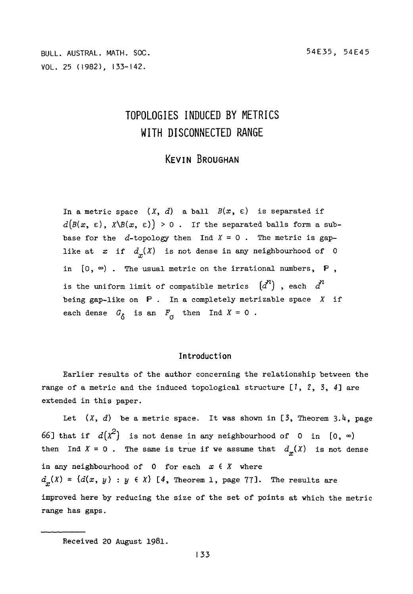BULL. AUSTRAL. MATH. SOC. 54E35 , 54E45 VOL. 25 (1982), 133-142.

# **TOPOLOGIES INDUCED BY METRICS WITH DISCONNECTED RANGE**

## **KEVIN BROUGHAN**

In a metric space  $(X, d)$  a ball  $B(x, \varepsilon)$  is separated if  $d(B(x, \varepsilon), X\setminus B(x, \varepsilon)) > 0$ . If the separated balls form a subbase for the d-topology then Ind  $X = 0$ . The metric is gaplike at x if d {X) is not dense in any neighbourhood of 0 **x** in  $[0, \infty)$ . The usual metric on the irrational numbers,  $P$ , is the uniform limit of compatible metrics  $(d^n)$  , each  $d^n$ being gap-like on  $\mathbb P$ . In a completely metrizable space X if each dense  $G_{\hat{\alpha}}$  is an  $F_{\alpha}$  then Ind  $X = 0$ .

#### **Introduction**

Earlier results of the author concerning the relationship between the range of a metric and the induced topological structure  $[1, 2, 3, 4]$  are extended in this paper.

Let  $(X, d)$  be a metric space. It was shown in [3, Theorem 3.4, page 66] that if  $d(x^2)$  is not dense in any neighbourhood of 0 in  $[0, \infty)$ then Ind X = 0. The same is true if we assume that  $d_{\pi}(X)$  is not dense in any neighbourhood of 0 for each  $x \in X$  where  $d_{\pi}(X) = \{d(x, y) : y \in X\}$  [4, Theorem 1, page 77]. The results are improved here by reducing the size of the set of points at which the metric range has gaps.

Received 20 August 1981.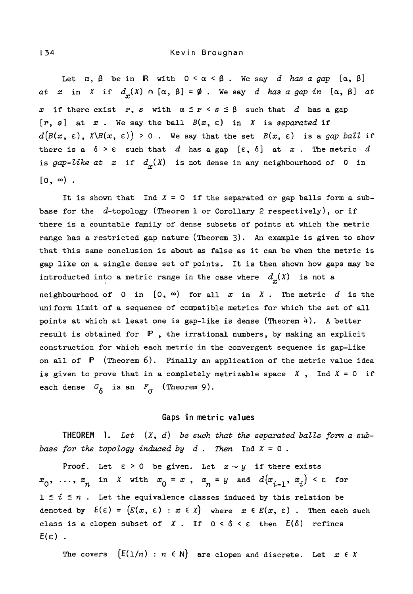Let  $\alpha$ ,  $\beta$  be in  $\mathbb R$  with  $0 \leq \alpha \leq \beta$ . We say d has a gap  $[\alpha, \beta]$ *at* x in X if  $d_n(X) \cap [\alpha, \beta] = \emptyset$ . We say d has a gap in  $[\alpha, \beta]$  at x if there exist r, s with  $\alpha \le r < s \le \beta$  such that d has a gap [r, s] at x. We say the ball  $B(x, \varepsilon)$  in X is separated if  $d(B(x, \varepsilon), X\setminus B(x, \varepsilon)) > 0$ . We say that the set  $B(x, \varepsilon)$  is a gap ball if there is a  $\delta > \varepsilon$  such that d has a gap  $[\varepsilon, \delta]$  at x. The metric d is gap-like at  $x$  if  $d_x(X)$  is not dense in any neighbourhood of 0 in  $\ddot{\omega}$  $[0, \infty)$ .

**[o, °°) .** It is shown that Ind  $X = 0$  if the separated or gap balls form a sub-<br>base for the d-topology (Theorem 1 or Corollary 2 respectively), or if there is a countable family of dense subsets of points at which the metric  $t_{\rm max}$  is a countable fapilo $f$  of dense subsets of points at which the metric  $\alpha$ range has a restricted gap nature (Theorem 3). An example is given to show that this same conclusion is about as false as it can be when the metric is gap like on a single dense set of points. It is then shown how gaps may be introducted into a metric range in the case where  $d_{\mu}(X)$  is not a neighbourhood of 0 in  $[0, \infty)$  for all x in X. The metric d is the uniform limit of a sequence of compatible metrics for which the set of all points at which at least one is gap-like is dense (Theorem 4). A better result is obtained for  $P$ , the irrational numbers, by making an explicit construction for which each metric in the convergent sequence is gap-like on all of  $P$  (Theorem 6). Finally an application of the metric value idea is given to prove that in a completely metrizable space  $X$ , Ind  $X = 0$  if each dense  $G_{\kappa}$  is an  $F_{\sigma}$  (Theorem 9).

#### Gaps in metric values

each dense G~ is an F (Theorem 9).

THEOREM 1. Let  $(X, d)$  be such that the separated balls form a subbase for the topology induced by  $d$ . Then Ind  $X = 0$ .

Proof. Let  $\varepsilon > 0$  be given. Let  $x \sim y$  if there exists  $x_0, \ldots, x_n$  in X with  $x_0 = x$ ,  $x_n = y$  and  $d(x_{i-1}, x_i) < \varepsilon$  for  $1 \leq i \leq n$ . Let the equivalence classes induced by this relation be denoted by  $E(\varepsilon) = [E(x, \varepsilon) : x \in X]$  where  $x \in E(x, \varepsilon)$ . Then each such class is a clopen subset of X. If  $0 < \delta < \varepsilon$  then  $E(\delta)$  refines  $E(\epsilon)$ .

The covers  $[E(1/n) : n \in \mathbb{N}]$  are clopen and discrete. Let  $x \in X$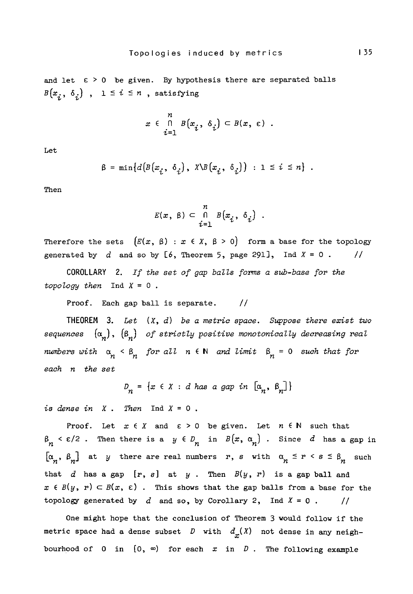and let  $\epsilon > 0$  be given. By hypothesis there are separated balls  $B(x_i, \delta_i)$ ,  $1 \leq i \leq n$ , satisfying

$$
x \in \bigcap_{i=1}^n B(x_i, \delta_i) \subset B(x, \epsilon) .
$$

Let

 $\mathcal{V} \subset \mathcal{V}$ 

$$
\beta = \min \{d(B(x_i, \delta_i), X \setminus B(x_i, \delta_i)) : 1 \leq i \leq n\}.
$$

Then

$$
E(x, \beta) \subset \bigcap_{i=1}^n B(x_i, \delta_i) .
$$

Therefore the sets  $\{E(x, \beta) : x \in X, \beta \ge 0\}$  form a base for the topology generated by  $d$  and so by [6, Theorem 5, page 291], Ind  $X = 0$ . //

COROLLARY 2. If the set of gap balls forms a sub-base for the topology then  $Ind X = 0$ .

Proof. Each gap ball is separate. //

THEOREM 3. Let  $(X, d)$  be a metric space. Suppose there exist two sequences  $(\alpha_n)$ ,  $(\beta_n)$  of strictly positive monotonically decreasing real numbers with  $\alpha_n < \beta_n$  for all  $n \in \mathbb{N}$  and limit  $\beta_n = 0$  such that for each n the set

$$
D_n = \{x \in X : d \text{ has a gap in } [\alpha_n, \beta_n] \}
$$

is dense in  $X$ . Then  $Ind X = 0$ .

Proof. Let  $x \in X$  and  $\varepsilon > 0$  be given. Let  $n \in \mathbb{N}$  such that  $\beta_n < \varepsilon/2$ . Then there is a  $y \in D_n$  in  $B(x, \alpha_n)$ . Since d has a gap in  $[\alpha_n, \beta_n]$  at y there are real numbers r, s with  $\alpha_n \le r < s \le \beta_n$  such that d has a gap  $[r, s]$  at  $y$ . Then  $B(y, r)$  is a gap ball and  $x \in B(y, r) \subset B(x, \varepsilon)$ . This shows that the gap balls from a base for the topology generated by  $d$  and so, by Corollary 2, Ind  $X = 0$ . //

One might hope that the conclusion of Theorem 3 would follow if the metric space had a dense subset  $\;D\;$  with  $\;d_{\bm{x}}^{\phantom{\dagger}}(X)\;$  not dense in any neighbourhood of 0 in  $[0, \infty)$  for each x in D. The following example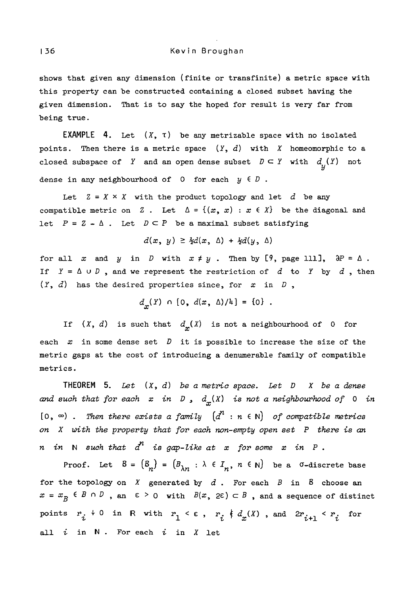shows that given any dimension (finite or transfinite) a metric space with this property can be constructed containing a closed subset having the given dimension. That is to say the hoped for result is very far from being true.

EXAMPLE 4. Let  $(X, \tau)$  be any metrizable space with no isolated points. Then there is a metric space  $(Y, d)$  with X homeomorphic to a closed subspace of Y and an open dense subset  $D \subseteq Y$  with  $d_i(Y)$  not dense in any neighbourhood of 0 for each  $y \in D$ .

Let  $Z = X \times X$  with the product topology and let d be any compatible metric on Z. Let  $\Delta = \{(x, x) : x \in X\}$  be the diagonal and let  $P = Z - \Delta$ . Let  $D \subset P$  be a maximal subset satisfying

$$
d(x, y) \geq \frac{1}{2}d(x, \Delta) + \frac{1}{2}d(y, \Delta)
$$

for all x and y in D with  $x \neq y$ . Then by [9, page 111],  $\partial P = \Delta$ . If  $Y = \Delta \cup D$ , and we represent the restriction of d to Y by d, then  $(Y, d)$  has the desired properties since, for x in  $D$ ,

$$
d_{\pi}(Y) \cap [0, d(x, \Delta)/4] = \{0\} .
$$

If  $(X, d)$  is such that  $d_r(X)$  is not a neighbourhood of 0 for each *x* in some dense set *D* it is possible to increase the size of the metric gaps at the cost of introducing a denumerable family of compatible metrics.

THEOREM 5. *Let (X, d) be a metric space. Let D X be a dense and such that for each x in D , d (X) is not a neighbourhood of* 0 *in*  $[\,0\,,\infty)$  . Then there exists a family  $\,[d^n\,:\,n\,\in\mathbb{N}]$  of compatible metrics *on X with the property that for each non-empty open set P there is an*  $n$  in  $N$  such that  $d^2$  is gap-like at  $x$  for some  $x$  in  $P$  .

Proof. Let  $B = \begin{pmatrix} B_n \end{pmatrix} = \begin{pmatrix} B_{\lambda n} : \lambda \in I_n, n \in \mathbb{N} \end{pmatrix}$  be a  $\sigma$ -discrete base for the topology on *X* generated by *d .* For each *B* in 8 choose an  $x = x_R \in B \cap D$ , an  $\epsilon > 0$  with  $B(x, 2\epsilon) \subset B$ , and a sequence of distinct points  $r_i$  + 0 in R with  $r_1$  <  $\varepsilon$ ,  $r_i$   $\nmid d_x(X)$ , and  $2r_{i+1}$  <  $r_i$  for all  $i$  in  $N$ . For each  $i$  in  $X$  let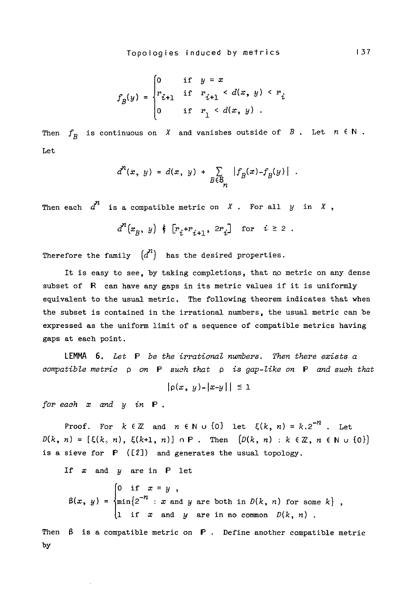$$
f_{B}(y) = \begin{cases} 0 & \text{if } y = x \\ r_{i+1} & \text{if } r_{i+1} < d(x, y) < r_{i} \\ 0 & \text{if } r_{1} < d(x, y) \end{cases}
$$

Then  $f_B$  is continuous on X and vanishes outside of B. Let  $n \in \mathbb{N}$ . Let

$$
d^{n}(x, y) = d(x, y) + \sum_{B \in \mathcal{B}_{n}} |f_{B}(x) - f_{B}(y)|.
$$

Then each  $d^n$  is a compatible metric on X. For all y in X,

$$
d^{n}(x_{B}, y) \notin [r_{i}+r_{i+1}, 2r_{i}]
$$
 for  $i \ge 2$ .

 **•**

Therefore the family  $(d^n)$  has the desired properties.

It is easy to see, by taking completions, that no metric on any dense subset of R can have any gaps in its metric values if it is uniformly equivalent to the usual metric. The following theorem indicates that when the subset is contained in the irrational numbers, the usual metric can be expressed as the uniform limit of a sequence of compatible metrics having gaps at each point.

LEMMA 6. Let P be the irrational numbers. Then there exists a compatible metric  $\rho$  on  $P$  such that  $\rho$  is gap-like on  $P$  and such that

 $|\rho(x, y)-|x-y|| \leq 1$ 

for each  $x$  and  $y$  in  $P$ .

Proof. For  $k \in \mathbb{Z}$  and  $n \in \mathbb{N} \cup \{0\}$  let  $\xi(k, n) = k \cdot 2^{-n}$ . Let  $D(k, n) = [\xi(k, n), \xi(k+1, n)] \cap P$ . Then  $[D(k, n) : k \in \mathbb{Z}, n \in \mathbb{N} \cup \{0\}]$ is a sieve for  $P$  ([2]) and generates the usual topology.

If  $x$  and  $y$  are in  $P$  let

$$
\beta(x, y) = \begin{cases}\n0 & \text{if } x = y, \\
\min\{2^{-n} : x \text{ and } y \text{ are both in } D(k, n) \text{ for some } k\}, \\
1 & \text{if } x \text{ and } y \text{ are in no common } D(k, n).\n\end{cases}
$$

Then  $\beta$  is a compatible metric on  $P$ . Define another compatible metric by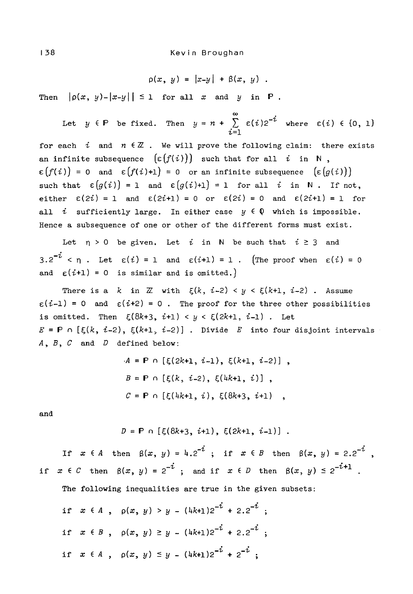$$
\rho(x, y) = |x-y| + \beta(x, y).
$$

oo

Then  $|\rho(x, y) - |x-y|| \leq 1$  for all x and y in P.

Let  $y \in \mathbb{P}$  be fixed. Then  $y = n + \sum_{i=1}^{n} \varepsilon(i) 2^{-\nu}$  where  $\varepsilon(i) \in \{0, 1\}$  $\sim$ for each  $\epsilon$  and  $\kappa \in \mathbb{R}$ . We will prove the following claim. there exists an infinite subsequence  $\left[\frac{\partial f}{\partial y}\right]$  such that for all  $y$  in N,  $\varepsilon(f(i)) = 0$  and  $\varepsilon(f(i)+1) = 0$  or an infinite subsequence  $(\varepsilon(g(i)))$ such that  $\varepsilon(g(i)) = 1$  and  $\varepsilon(g(i)+1) = 1$  for all i in N. If not, either  $\varepsilon(2i) = 1$  and  $\varepsilon(2i+1) = 0$  or  $\varepsilon(2i) = 0$  and  $\varepsilon(2i+1) = 1$  for all i sufficiently large. In either case  $y \in \mathbb{Q}$  which is impossible. Hence a subsequence of one or other of the different forms must exist.

Let  $\eta > 0$  be given. Let i in N be such that  $i \ge 3$  and  $3.2^{-\nu}$  < n · Let  $\varepsilon(i)$  = 1 and  $\varepsilon(i+1)$  = 1 . (The proof when  $\varepsilon(i)$  = 0 and  $\varepsilon(i+1) = 0$  is similar and is omitted.)

There is a k in Z with  $\xi(k, i-2) < y < \xi(k+1, i-2)$ . Assume  $\varepsilon(i-1) = 0$  and  $\varepsilon(i+2) = 0$ . The proof for the three other possibilities is omitted. Then  $\xi(8k+3, i+1) < y < \xi(2k+1, i-1)$ . Let  $E = \mathbb{P} \cap [\xi(k, i-2), \xi(k+1, i-2)]$ . Divide E into four disjoint intervals  $A$ ,  $B$ ,  $C$  and  $D$  defined below:

$$
A = P \cap [\xi(2k+1, i-1), \xi(k+1, i-2)],
$$
  

$$
B = P \cap [\xi(k, i-2), \xi(k+1, i)],
$$
  

$$
C = P \cap [\xi(k+1, i), \xi(8k+3, i+1),
$$

and

$$
D = \mathbb{P} \cap [\xi(8k+3, i+1), \xi(2k+1, i-1)].
$$

If  $x \in A$  then  $\beta(x, y) = 4.2^{-t}$ ; if  $x \in B$  then  $\beta(x, y) = 2.2^{-t}$ if  $x \in C$  then  $\beta(x, y) = 2^{-\nu}$ ; and if  $x \in D$  then  $\beta(x, y) \leq 2^{-\nu + 1}$ .

The following inequalities are true in the given subsets:

if  $x \in A$  ,  $\rho(x, y) > y$  -  $(kk+1)2^{-2}$  + 2.2<sup>-2</sup> ; if  $x \in B$ ,  $\rho(x, y) \ge y$  -  $(k+1)2^{-\nu}$  + 2.2<sup>- $\nu$ </sup> if  $x \in A$ ,  $\rho(x, y) \leq y - (\frac{1}{2}k+1)2^{-i} + 2^{-i}$ ;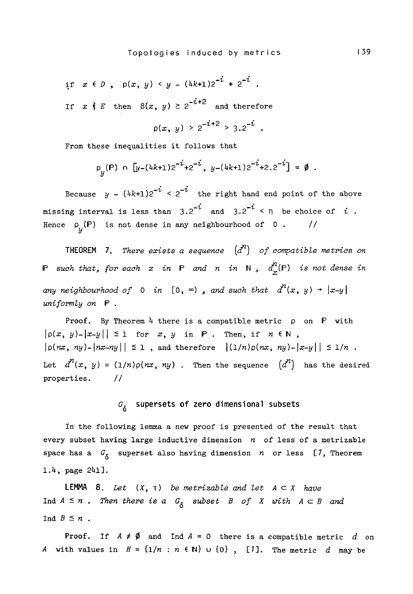if 
$$
x \in D
$$
,  $\rho(x, y) < y$  -  $(4k+1)2^{-i} + 2^{-i}$ .  
\nIf  $x \notin E$  then  $\beta(x, y) \ge 2^{-i+2}$  and therefore  
\n $\rho(x, y) > 2^{-i+2} > 3 \cdot 2^{-i}$ .

From these inequalities it follows that

$$
\rho_y(\mathsf{P}) \, \cap \, \left[y_-(\mathsf{4k+1})2^{-i} + 2^{-i}, \ y_-(\mathsf{4k+1})2^{-i} + 2 \cdot 2^{-i}\right] \, = \, \emptyset \, \, .
$$

Because  $y - (\frac{1}{k+1})2^{-i} < 2^{-i}$  the right hand end point of the above missing interval is less than  $3.2^{-i}$  and  $3.2^{-i}$  < n be choice of i. Hence  $\rho_{\nu}(\mathbf{P})$  is not dense in any neighbourhood of 0. //

**THEOREM** 7. There exists a sequence  $(d^n)$  of compatible metrics on **P** such that, for each x in **P** and n in N,  $d_{\pi}^{n}(\mathbb{P})$  is not dense in any neighbourhood of 0 in  $[0, \infty)$ , and such that  $d^{n}(x, y) \rightarrow |x-y|$ uniformly on P .

Proof. By Theorem 4 there is a compatible metric  $\rho$  on  $P$  with  $|p(x, y)-|x-y|| \leq 1$  for x, y in P. Then, if  $n \in \mathbb{N}$ ,  $|\rho(nx, ny)-|nx-ny|\ \leq 1$ , and therefore  $|(1/n)\rho(nx, ny)-|x-y|\ \leq 1/n$ . Let  $d^{n}(x, y) = (1/n)\rho(nx, ny)$ . Then the sequence  $(d^{n})$  has the desired properties. //

### **G,. supersets of zero dimensional subsets**

In the following lemma a new proof is presented of the result that every subset having large inductive dimension  $n$  of less of a metrizable space has a  $G_{\kappa}$  superset also having dimension n or less [7, Theorem  $1.4$ , page  $241$ ].

**LEMMA** 8. Let  $(X, \tau)$  be metrizable and let  $A \subset X$  have Ind  $A \le n$ . Then there is a  $G_{\delta}$  subset B of X with  $A \subset B$  and Ind  $B \leq n$ .

**Proof.** If  $A \neq \emptyset$  and Ind  $A = 0$  there is a compatible metric d on A with values in  $H = \{1/n : n \in \mathbb{N}\}\cup\{0\}$ , [1]. The metric d may be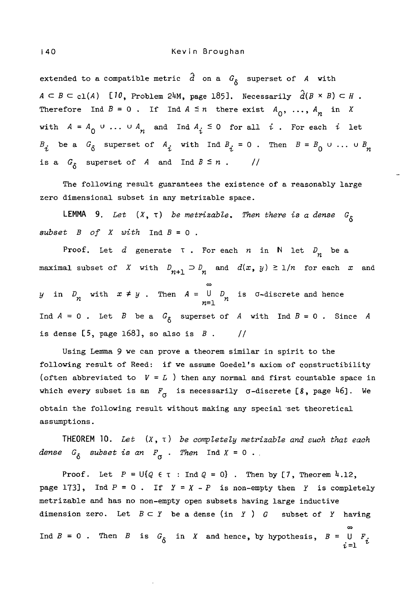extended to a compatible metric  $\hat{d}$  on a  $G_{\hat{K}}$  superset of A with  $A \subset B \subset c1(A)$  [10, Problem 24M, page 185]. Necessarily  $\hat{d}(B \times B) \subset H$ . Therefore Ind  $B = 0$ . If Ind  $A \le n$  there exist  $A_0$ , ...,  $A_n$  in X with  $A = A_0 \cup ... \cup A_n$  and Ind  $A_i \leq 0$  for all  $i$ . For each  $i$  let  $B_i$  be a  $G_{\delta}$  superset of  $A_i$  with Ind  $B_i = 0$ . Then  $B = B_0 \cup ... \cup B_n$ is a  $G_{\kappa}$  superset of A and Ind  $B \leq n$ . //

The following result guarantees the existence of a reasonably large zero dimensional subset in any metrizable space.

LEMMA 9. *Let {X,* x) *be metrizable. Then there is a dense G&*  $subset B$  of X with  $Ind B = 0$ .

Proof. Let  $d$  generate  $\tau$ . For each  $n$  in N let  $D_n$  be a maximal subset of X with  $D_{n+1} \supset D_n$  and  $d(x, y) \supseteq 1/n$  for each x and y in  $D_n$  with  $x \neq y$ . Then  $A = \bigcup_{n=1}^{\infty} D_n$  is  $\sigma$ -discrete and hence Ind  $A = 0$ . Let B be a  $G_{\delta}$  superset of A with Ind  $B = 0$ . Since A is dense  $[5, page 168]$ , so also is  $B$ . //

Using Lemma 9 we can prove a theorem similar in spirit to the following result of Reed: if we assume Goedel's axiom of constructibility (often abbreviated to  $V = L$ ) then any normal and first countable space in which every subset is an  $F_{\sigma}$  is necessarily  $\sigma$ -discrete [8, page 46]. We obtain the following result without making any special set theoretical assumptions.

THEOREM 10. Let  $(X, \tau)$  be completely metrizable and such that each dense  $G_{\delta}$  subset is an  $F_{\sigma}$ . Then Ind X = 0.

Proof. Let  $P = \bigcup \{Q \in \tau : \text{Ind } Q = 0\}$ . Then by [7, Theorem 4.12, page 173], Ind  $P = 0$ . If  $Y = X - P$  is non-empty then Y is completely metrizable and has no non-empty open subsets having large inductive dimension zero. Let  $B \subset Y$  be a dense (in Y ) G subset of Y having Ind  $B = 0$  . Then  $B$  is  $G_{\mathcal{S}}$  in  $X$  and hence, by hypothesis,  $B = \bigcup F_{\mathcal{S}}$  $i=1$   $\epsilon$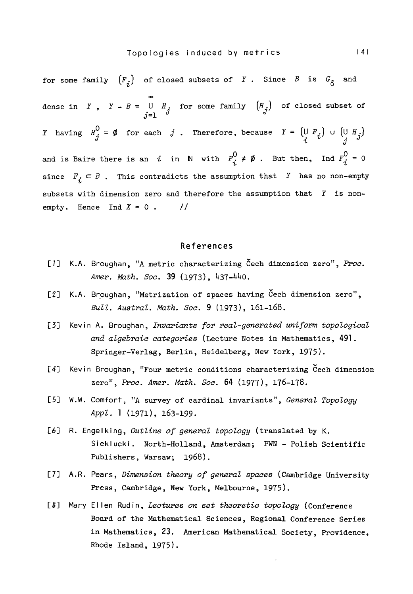for some family  $(F_i)$  of closed subsets of *Y*. Since *B* is  $G^<sub>6</sub>$  and  $\infty$ dense in Y , Y - B = U  $H$  for some family  $\{H$ <sub>j</sub> of closed subset of  $j=1$   $\bullet$ *Y* having  $H_j^{\circ} = \emptyset$  for each *j*. Therefore, because  $Y = \bigcup_i F_i$  *j*  $\bigcup_j H_j$  *j* and is Baire there is an i in N with  $F_i^0 \neq \emptyset$ . But then, Ind  $F_{i}^0 = 0$ since  $F_i \subset B$ . This contradicts the assumption that Y has no non-empty subsets with dimension zero and therefore the assumption that  $Y$  is nonempty. Hence Ind  $X = 0$ . //

#### **References**

- [1] K.A. Broughan, "A metric characterizing Cech dimension zero", Proc. Amer. Math. Soc. 39 (1973), 437-440.
- [2] K.A. Broughan, "Metrization of spaces having Cech dimension zero", Bull. Austral. Math. Soc. 9 (1973), 161-168.
- [3] Kevin A. Broughan, Invariants for real-generated uniform topological and algebraic categories (Lecture Notes in Mathematics, **491.** Springer-Verlag, Berlin, Heidelberg, New York, 1975).
- [4] Kevin Broughan, "Four metric conditions characterizing Cech dimension zero", Proc. Amer. Math. Soc. 64 (1977), 176-178.
- [5] W.W. Comfort, "A survey of cardinal invariants", General Topology Appl. 1 (1971), 163-199.
- [6] R. Engelking, Outline of general topology (translated by K. Sieklucki. North-Holland, Amsterdam; PWN - Polish Scientific Publishers, Warsaw; 1968).
- [7] A.R. Pears, Dimension theory of general spaces (Cambridge University Press, Cambridge, New York, Melbourne, 1975).
- [8] Mary Ellen Rudin, Lectures on set theoretic topology (Conference Board of the Mathematical Sciences, Regional Conference Series in Mathematics, 23. American Mathematical Society, Providence, Rhode Island, 1975).